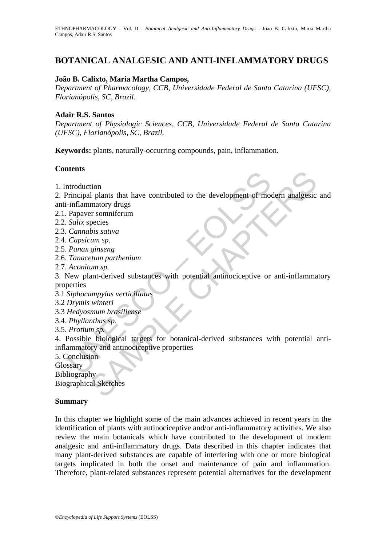# **BOTANICAL ANALGESIC AND ANTI-INFLAMMATORY DRUGS**

#### **João B. Calixto, Maria Martha Campos,**

*Department of Pharmacology, CCB, Universidade Federal de Santa Catarina (UFSC), Florianópolis, SC, Brazil.* 

#### **Adair R.S. Santos**

*Department of Physiologic Sciences, CCB, Universidade Federal de Santa Catarina (UFSC), Florianópolis, SC, Brazil.* 

**Keywords:** plants, naturally-occurring compounds, pain, inflammation.

#### **Contents**

1. Introduction

2. Principal plants that have contributed to the development of modern analgesic and anti-inflammatory drugs

- 2.1. Papaver somniferum
- 2.2. *Salix* species
- 2.3. *Cannabis sativa*
- 2.4. *Capsicum sp*.
- 2.5. *Panax ginseng*
- 2.6. *Tanacetum parthenium*
- 2.7. *Aconitum sp.*

3. New plant-derived substances with potential antinociceptive or anti-inflammatory properties

- 3.1 *Siphocampylus verticillatus*
- 3.2 *Drymis winteri*
- 3.3 *Hedyosmum brasiliense*
- 3.4. *Phyllanthus sp.*
- 3.5. *Protium sp.*

the structure of the development of models<br>
inflammatory drugs<br>
Papare somiferum<br>
Papare somiferium<br>
Capacitos Salix species<br>
Cannabis sativa<br>
Capsicum sp.<br>
Panax ginseng<br>
Tanacetum parthenium<br>
Aconitum sp.<br>
Panax ginseng<br> tion<br>
d plants that have contributed to the development of modern analgesic<br>
matory drugs<br>
primaring.<br>
primaring present<br>
bis sativa<br>
ginseng<br>
ginseng<br>
ginseng<br>
etum parthenium<br>
um sp.<br>
ginseng<br>
matoric substances with pot 4. Possible biological targets for botanical-derived substances with potential antiinflammatory and antinociceptive properties

5. Conclusion

**Glossary** 

Bibliography

Biographical Sketches

#### **Summary**

In this chapter we highlight some of the main advances achieved in recent years in the identification of plants with antinociceptive and/or anti-inflammatory activities. We also review the main botanicals which have contributed to the development of modern analgesic and anti-inflammatory drugs. Data described in this chapter indicates that many plant-derived substances are capable of interfering with one or more biological targets implicated in both the onset and maintenance of pain and inflammation. Therefore, plant-related substances represent potential alternatives for the development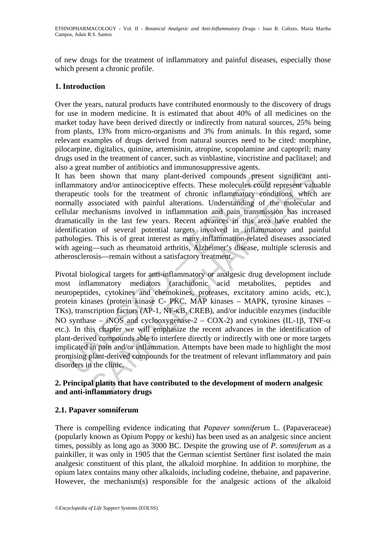of new drugs for the treatment of inflammatory and painful diseases, especially those which present a chronic profile.

# **1. Introduction**

Over the years, natural products have contributed enormously to the discovery of drugs for use in modern medicine. It is estimated that about 40% of all medicines on the market today have been derived directly or indirectly from natural sources, 25% being from plants, 13% from micro-organisms and 3% from animals. In this regard, some relevant examples of drugs derived from natural sources need to be cited: morphine, pilocarpine, digitalics, quinine, artemisinin, atropine, scopolamine and captopril; many drugs used in the treatment of cancer, such as vinblastine, vincristine and paclitaxel; and also a great number of antibiotics and immunosuppressive agents.

It has been shown that many plant-derived compounds present significant antiinflammatory and/or antinociceptive effects. These molecules could represent valuable therapeutic tools for the treatment of chronic inflammatory conditions, which are normally associated with painful alterations. Understanding of the molecular and cellular mechanisms involved in inflammation and pain transmission has increased dramatically in the last few years. Recent advances in this area have enabled the identification of several potential targets involved in inflammatory and painful pathologies. This is of great interest as many inflammation-related diseases associated with ageing—such as rheumatoid arthritis, Alzheimer's disease, multiple sclerosis and atherosclerosis—remain without a satisfactory treatment.

aas been shown that many plant-derived compounds presen<br>ammatory and/or antinociceptive effects. These molecules could<br>apeutic tools for the treatment of chronic inflammatory consally associated with painful alterations. U in shown that many plant-derived compounds present significant and the tools for the treatment of chronic infilammatory onditions, which associated with painful alterations. Understanding of the molecular colosi for the t Pivotal biological targets for anti-inflammatory or analgesic drug development include most inflammatory mediators (arachidonic acid metabolites, peptides and neuropeptides, cytokines and chemokines, proteases, excitatory amino acids, etc.), protein kinases (protein kinase C- PKC, MAP kinases – MAPK, tyrosine kinases – TKs), transcription factors (AP-1, NF-κB, CREB), and/or inducible enzymes (inducible NO synthase – iNOS and cyclooxygenase-2 – COX-2) and cytokines (IL-1 $\beta$ , TNF- $\alpha$ ) etc.). In this chapter we will emphasize the recent advances in the identification of plant-derived compounds able to interfere directly or indirectly with one or more targets implicated in pain and/or inflammation. Attempts have been made to highlight the most promising plant-derived compounds for the treatment of relevant inflammatory and pain disorders in the clinic.

## **2. Principal plants that have contributed to the development of modern analgesic and anti-inflammatory drugs**

## **2.1. Papaver somniferum**

There is compelling evidence indicating that *Papaver somniferum* L. (Papaveraceae) (popularly known as Opium Poppy or keshi) has been used as an analgesic since ancient times, possibly as long ago as 3000 BC. Despite the growing use of *P. somniferum* as a painkiller, it was only in 1905 that the German scientist Sertüner first isolated the main analgesic constituent of this plant, the alkaloid morphine. In addition to morphine, the opium latex contains many other alkaloids, including codeine, thebaine, and papaverine. However, the mechanism(s) responsible for the analgesic actions of the alkaloid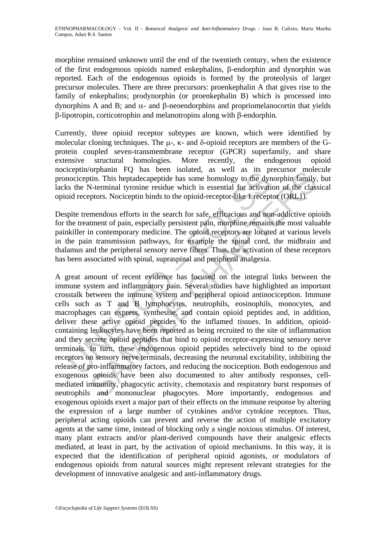morphine remained unknown until the end of the twentieth century, when the existence of the first endogenous opioids named enkephalins, β-endorphin and dynorphin was reported. Each of the endogenous opioids is formed by the proteolysis of larger precursor molecules. There are three precursors: proenkephalin A that gives rise to the family of enkephalins; prodynorphin (or proenkephalin B) which is processed into dynorphins A and B; and α- and β-neoendorphins and propriomelanocortin that yields β-lipotropin, corticotrophin and melanotropins along with β-endorphin.

Currently, three opioid receptor subtypes are known, which were identified by molecular cloning techniques. The μ-, κ- and δ-opioid receptors are members of the Gprotein coupled seven-transmembrane receptor (GPCR) superfamily, and share extensive structural homologies. More recently, the endogenous opioid nociceptin/orphanin FQ has been isolated, as well as its precursor molecule pronociceptin. This heptadecapeptide has some homology to the dynorphin family, but lacks the N-terminal tyrosine residue which is essential for activation of the classical opioid receptors. Nociceptin binds to the opioid-receptor-like 1 receptor (ORL1).

Despite tremendous efforts in the search for safe, efficacious and non-addictive opioids for the treatment of pain, especially persistent pain, morphine remains the most valuable painkiller in contemporary medicine. The opioid receptors are located at various levels in the pain transmission pathways, for example the spinal cord, the midbrain and thalamus and the peripheral sensory nerve fibres. Thus, the activation of these receptors has been associated with spinal, supraspinal and peripheral analgesia.

event of partial and some homology to the sympatom opinion in the than the sympatom opinion in the stap of the dynomic mociceptin. This heptadecapeptide has some homology to the dyn s the N-terminal tyrosine residue which optimaline TV has been isotated, as wen as its pectabor into the optimaline in This heptadecapeptide has some homology to the dynorphin family, V-terminal tyrosine residue which is essential for activation of the class<br>pto A great amount of recent evidence has focused on the integral links between the immune system and inflammatory pain. Several studies have highlighted an important crosstalk between the immune system and peripheral opioid antinociception. Immune cells such as T and B lymphocytes, neutrophils, eosinophils, monocytes, and macrophages can express, synthesise, and contain opioid peptides and, in addition, deliver these active opioid peptides to the inflamed tissues. In addition, opioidcontaining leukocytes have been reported as being recruited to the site of inflammation and they secrete opioid peptides that bind to opioid receptor-expressing sensory nerve terminals. In turn, these endogenous opioid peptides selectively bind to the opioid receptors on sensory nerve terminals, decreasing the neuronal excitability, inhibiting the release of pro-inflammatory factors, and reducing the nociception. Both endogenous and exogenous opioids have been also documented to alter antibody responses, cellmediated immunity, phagocytic activity, chemotaxis and respiratory burst responses of neutrophils and mononuclear phagocytes. More importantly, endogenous and exogenous opioids exert a major part of their effects on the immune response by altering the expression of a large number of cytokines and/or cytokine receptors. Thus, peripheral acting opioids can prevent and reverse the action of multiple excitatory agents at the same time, instead of blocking only a single noxious stimulus. Of interest, many plant extracts and/or plant-derived compounds have their analgesic effects mediated, at least in part, by the activation of opioid mechanisms. In this way, it is expected that the identification of peripheral opioid agonists, or modulators of endogenous opioids from natural sources might represent relevant strategies for the development of innovative analgesic and anti-inflammatory drugs.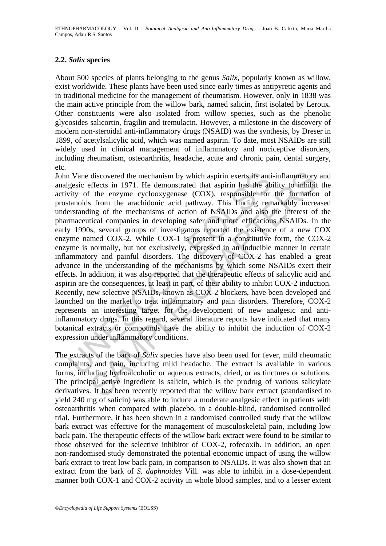# **2.2.** *Salix* **species**

About 500 species of plants belonging to the genus *Salix*, popularly known as willow, exist worldwide. These plants have been used since early times as antipyretic agents and in traditional medicine for the management of rheumatism. However, only in 1838 was the main active principle from the willow bark, named salicin, first isolated by Leroux. Other constituents were also isolated from willow species, such as the phenolic glycosides salicortin, fragilin and tremulacin. However, a milestone in the discovery of modern non-steroidal anti-inflammatory drugs (NSAID) was the synthesis, by Dreser in 1899, of acetylsalicylic acid, which was named aspirin. To date, most NSAIDs are still widely used in clinical management of inflammatory and nociceptive disorders, including rheumatism, osteoarthritis, headache, acute and chronic pain, dental surgery, etc.

n Vane discovered the mechanism by which aspirin exerts its antigesic effects in 1971. He demonstrated that aspirin has the absolvity of the enzyme cyclooxygenase (COX), responsible for tanoids from the arachidonic acid pa discovered the mechanism by which aspirin exerts its anti-inflammatory<br>frects in 1971. He demonstrated that aspirin has the ability to inhibit<br>it encryme cyclooxygenase (COX), responsible for the formation<br>is from the arac John Vane discovered the mechanism by which aspirin exerts its anti-inflammatory and analgesic effects in 1971. He demonstrated that aspirin has the ability to inhibit the activity of the enzyme cyclooxygenase (COX), responsible for the formation of prostanoids from the arachidonic acid pathway. This finding remarkably increased understanding of the mechanisms of action of NSAIDs and also the interest of the pharmaceutical companies in developing safer and more efficacious NSAIDs. In the early 1990s, several groups of investigators reported the existence of a new COX enzyme named COX-2. While COX-1 is present in a constitutive form, the COX-2 enzyme is normally, but not exclusively, expressed in an inducible manner in certain inflammatory and painful disorders. The discovery of COX-2 has enabled a great advance in the understanding of the mechanisms by which some NSAIDs exert their effects. In addition, it was also reported that the therapeutic effects of salicylic acid and aspirin are the consequences, at least in part, of their ability to inhibit COX-2 induction. Recently, new selective NSAIDs, known as COX-2 blockers, have been developed and launched on the market to treat inflammatory and pain disorders. Therefore, COX-2 represents an interesting target for the development of new analgesic and antiinflammatory drugs. In this regard, several literature reports have indicated that many botanical extracts or compounds have the ability to inhibit the induction of COX-2 expression under inflammatory conditions.

The extracts of the bark of *Salix* species have also been used for fever, mild rheumatic complaints, and pain, including mild headache. The extract is available in various forms, including hydroalcoholic or aqueous extracts, dried, or as tinctures or solutions. The principal active ingredient is salicin, which is the prodrug of various salicylate derivatives. It has been recently reported that the willow bark extract (standardised to yield 240 mg of salicin) was able to induce a moderate analgesic effect in patients with osteoarthritis when compared with placebo, in a double-blind, randomised controlled trial. Furthermore, it has been shown in a randomised controlled study that the willow bark extract was effective for the management of musculoskeletal pain, including low back pain. The therapeutic effects of the willow bark extract were found to be similar to those observed for the selective inhibitor of COX-2, rofecoxib. In addition, an open non-randomised study demonstrated the potential economic impact of using the willow bark extract to treat low back pain, in comparison to NSAIDs. It was also shown that an extract from the bark of *S. daphnoides* Vill. was able to inhibit in a dose-dependent manner both COX-1 and COX-2 activity in whole blood samples, and to a lesser extent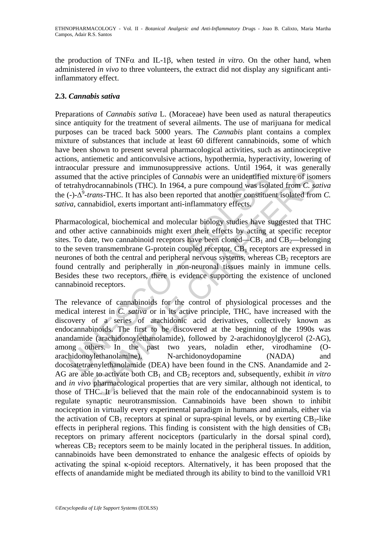the production of TNFα and IL-1β, when tested *in vitro*. On the other hand, when administered *in vivo* to three volunteers, the extract did not display any significant antiinflammatory effect.

# **2.3.** *Cannabis sativa*

Preparations of *Cannabis sativa* L. (Moraceae) have been used as natural therapeutics since antiquity for the treatment of several ailments. The use of marijuana for medical purposes can be traced back 5000 years. The *Cannabis* plant contains a complex mixture of substances that include at least 60 different cannabinoids, some of which have been shown to present several pharmacological activities, such as antinociceptive actions, antiemetic and anticonvulsive actions, hypothermia, hyperactivity, lowering of intraocular pressure and immunosuppressive actions. Until 1964, it was generally assumed that the active principles of *Cannabis* were an unidentified mixture of isomers of tetrahydrocannabinols (THC). In 1964, a pure compound was isolated from *C. sativa*  the  $(-)$ - $\Delta^9$ -*trans*-THC. It has also been reported that another constituent isolated from *C*. *sativa*, cannabidiol, exerts important anti-inflammatory effects.

Pharmacological, biochemical and molecular biology studies have suggested that THC and other active cannabinoids might exert their effects by acting at specific receptor sites. To date, two cannabinoid receptors have been cloned— $CB_1$  and  $CB_2$ —belonging to the seven transmembrane G-protein coupled receptor.  $CB<sub>1</sub>$  receptors are expressed in neurones of both the central and peripheral nervous systems, whereas  $CB<sub>2</sub>$  receptors are found centrally and peripherally in non-neuronal tissues mainly in immune cells. Besides these two receptors, there is evidence supporting the existence of uncloned cannabinoid receptors.

Imed that the active principles of *Cannabis* were an unidentified<br>trahydrocannabinols (THC). In 1964, a pure compound was isolated that the term and the term as isolated (-)- $\Delta^5$ -*trans*-THC. It has also been reported presence that interminancy presence accentic contract of the results. The results the active principles of *Camabis* were an unidentified mixture of isomocannabinols (THC). In 1964, a pure compound was isolated from *C. s* The relevance of cannabinoids for the control of physiological processes and the medical interest in *C. sativa* or in its active principle, THC, have increased with the discovery of a series of arachidonic acid derivatives, collectively known as endocannabinoids. The first to be discovered at the beginning of the 1990s was anandamide (arachidonoylethanolamide), followed by 2-arachidonoylglycerol (2-AG), among others. In the past two years, noladin ether, virodhamine (Oarachidonoylethanolamine), N-archidonoydopamine (NADA) and docosatetraenylethanolamide (DEA) have been found in the CNS. Anandamide and 2- AG are able to activate both  $CB_1$  and  $CB_2$  receptors and, subsequently, exhibit *in vitro* and *in vivo* pharmacological properties that are very similar, although not identical, to those of THC. It is believed that the main role of the endocannabinoid system is to regulate synaptic neurotransmission. Cannabinoids have been shown to inhibit nociception in virtually every experimental paradigm in humans and animals, either via the activation of  $CB_1$  receptors at spinal or supra-spinal levels, or by exerting  $CB_2$ -like effects in peripheral regions. This finding is consistent with the high densities of  $CB<sub>1</sub>$ receptors on primary afferent nociceptors (particularly in the dorsal spinal cord), whereas  $CB_2$  receptors seem to be mainly located in the peripheral tissues. In addition, cannabinoids have been demonstrated to enhance the analgesic effects of opioids by activating the spinal κ-opioid receptors. Alternatively, it has been proposed that the effects of anandamide might be mediated through its ability to bind to the vanilloid VR1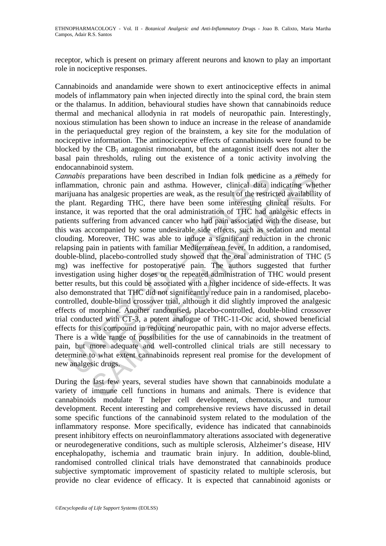receptor, which is present on primary afferent neurons and known to play an important role in nociceptive responses.

Cannabinoids and anandamide were shown to exert antinociceptive effects in animal models of inflammatory pain when injected directly into the spinal cord, the brain stem or the thalamus. In addition, behavioural studies have shown that cannabinoids reduce thermal and mechanical allodynia in rat models of neuropathic pain. Interestingly, noxious stimulation has been shown to induce an increase in the release of anandamide in the periaqueductal grey region of the brainstem, a key site for the modulation of nociceptive information. The antinociceptive effects of cannabinoids were found to be blocked by the  $CB_1$  antagonist rimonabant, but the antagonist itself does not alter the basal pain thresholds, ruling out the existence of a tonic activity involving the endocannabinoid system.

mabis preparations have been described in Indian folk medicin<br>immnation, chronic pain and asthma. However, clinical data i<br>ijuana has analgesic properties are weak, as the result of the restri<br>plant. Regarding THC, there h preparations have been described in Indian folk medicine as a remedy<br>on, chronic pain and asthma. However, clinical data indicating whe<br>has analgesic properties are weak, as the result of the restricted availabilitie<br>Regar *Cannabis* preparations have been described in Indian folk medicine as a remedy for inflammation, chronic pain and asthma. However, clinical data indicating whether marijuana has analgesic properties are weak, as the result of the restricted availability of the plant. Regarding THC, there have been some interesting clinical results. For instance, it was reported that the oral administration of THC had analgesic effects in patients suffering from advanced cancer who had pain associated with the disease, but this was accompanied by some undesirable side effects, such as sedation and mental clouding. Moreover, THC was able to induce a significant reduction in the chronic relapsing pain in patients with familiar Mediterranean fever. In addition, a randomised, double-blind, placebo-controlled study showed that the oral administration of THC (5 mg) was ineffective for postoperative pain. The authors suggested that further investigation using higher doses or the repeated administration of THC would present better results, but this could be associated with a higher incidence of side-effects. It was also demonstrated that THC did not significantly reduce pain in a randomised, placebocontrolled, double-blind crossover trial, although it did slightly improved the analgesic effects of morphine. Another randomised, placebo-controlled, double-blind crossover trial conducted with CT-3, a potent analogue of THC-11-Oic acid, showed beneficial effects for this compound in reducing neuropathic pain, with no major adverse effects. There is a wide range of possibilities for the use of cannabinoids in the treatment of pain, but more adequate and well-controlled clinical trials are still necessary to determine to what extent cannabinoids represent real promise for the development of new analgesic drugs.

During the last few years, several studies have shown that cannabinoids modulate a variety of immune cell functions in humans and animals. There is evidence that cannabinoids modulate T helper cell development, chemotaxis, and tumour development. Recent interesting and comprehensive reviews have discussed in detail some specific functions of the cannabinoid system related to the modulation of the inflammatory response. More specifically, evidence has indicated that cannabinoids present inhibitory effects on neuroinflammatory alterations associated with degenerative or neurodegenerative conditions, such as multiple sclerosis, Alzheimer's disease, HIV encephalopathy, ischemia and traumatic brain injury. In addition, double-blind, randomised controlled clinical trials have demonstrated that cannabinoids produce subjective symptomatic improvement of spasticity related to multiple sclerosis, but provide no clear evidence of efficacy. It is expected that cannabinoid agonists or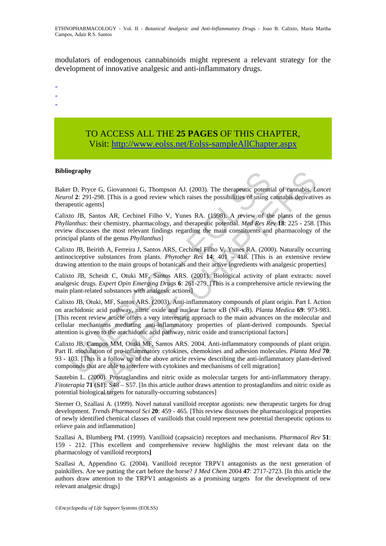modulators of endogenous cannabinoids might represent a relevant strategy for the development of innovative analgesic and anti-inflammatory drugs.

- -
- -
- -

# TO ACCESS ALL THE **25 PAGES** OF THIS CHAPTER, Visit[: http://www.eolss.net/Eolss-sampleAllChapter.aspx](https://www.eolss.net/ebooklib/sc_cart.aspx?File=E6-79-14)

#### **Bibliography**

Baker D, Pryce G, Giovannoni G, Thompson AJ. (2003). The therapeutic potential of cannabis. *Lancet Neurol* **2**: 291-298. [This is a good review which raises the possibilities of using cannabis derivatives as therapeutic agents]

Calixto JB, Santos AR, Cechinel Filho V, Yunes RA. (1998). A review of the plants of the genus *Phyllanthus*: their chemistry, pharmacology, and therapeutic potential. *Med Res Rev* **18**: 225 - 258. [This review discusses the most relevant findings regarding the main constituents and pharmacology of the principal plants of the genus *Phyllanthus*]

Calixto JB, Beirith A, Ferreira J, Santos ARS, Cechinel Filho V, Yunes RA. (2000). Naturally occurring antinociceptive substances from plants. *Phytother Res* **14**: 401 – 418. [This is an extensive review drawing attention to the main groups of botanicals and their active ingredients with analgesic properties]

Calixto JB, Scheidt C, Otuki MF, Santos ARS. (2001). Biological activity of plant extracts: novel analgesic drugs. *Expert Opin Emerging Drugs* **6**: 261-279. [This is a comprehensive article reviewing the main plant-related substances with analgesic actions]

**Example 10.** They G. Giovannoni G, Thompson AJ. (2003). The therapeutic potentiol of  $2$ : 291-298. [This is a good review which raises the possibilities of using coentic agents]<br>to JB, Santos AR, Cechinel Filho V, Yunes **y**<br>
ece G, Giovannoni G, Thompson AJ. (2003). The therapeutic potential of cannabis. L1-298, [This is a good review which raises the possibilities of using cannabis derivative<br>
erents]<br>
Ears. [This is a good review which Calixto JB, Otuki, MF, Santos ARS. (2003). Anti-inflammatory compounds of plant origin. Part I. Action on arachidonic acid pathway, nitric oxide and nuclear factor κB (NF-κB). *Planta Medica* **69**: 973-983. [This recent review article offers a very interesting approach to the main advances on the molecular and cellular mechanisms mediating anti-inflammatory properties of plant-derived compounds. Special attention is given to the arachidonic acid pathway, nitric oxide and transcriptional factors]

Calixto JB, Campos MM, Otuki MF, Santos ARS. 2004. Anti-inflammatory compounds of plant origin. Part II. modulation of pro-inflammatory cytokines, chemokines and adhesion molecules. *Planta Med* **70**: 93 - 103. [This is a follow up of the above article review describing the anti-inflammatory plant-derived compounds that are able to interfere with cytokines and mechanisms of cell migration]

Sautebin L. (2000). Prostaglandins and nitric oxide as molecular targets for anti-inflammatory therapy. *Fitoterapia* **71** (S1): S48 – S57. [In this article author draws attention to prostaglandins and nitric oxide as potential biological targets for naturally-occurring substances]

Sterner O, Szallasi A. (1999). Novel natural vanilloid receptor agonists: new therapeutic targets for drug development. *Trends Pharmacol Sci* **20**: 459 - 465. [This review discusses the pharmacological properties of newly identified chemical classes of vanilloids that could represent new potential therapeutic options to relieve pain and inflammation]

Szallasi A, Blumberg PM. (1999). Vanilloid (capsaicin) receptors and mechanisms. *Pharmacol Rev* **51**: 159 - 212. [This excellent and comprehensive review highlights the most relevant data on the pharmacology of vanilloid receptors**]** 

Szallasi A, Appendino G. (2004). Vanilloid receptor TRPV1 antagonists as the next generation of painkillers. Are we putting the cart before the horse? *J Med Chem* 2004 **47**: 2717-2723. [In this article the authors draw attention to the TRPV1 antagonists as a promising targets for the development of new relevant analgesic drugs]